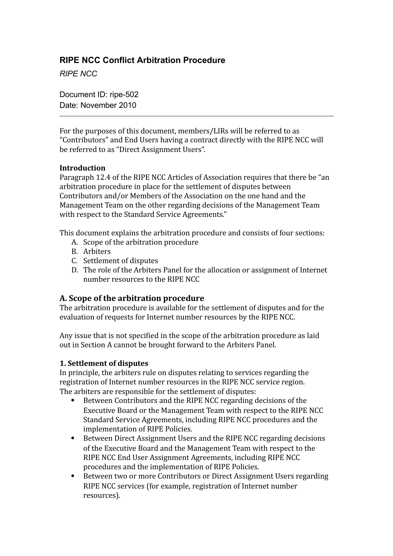# **RIPE NCC Conflict Arbitration Procedure**

*RIPE NCC*

Document ID: ripe-502 Date: November 2010

For the purposes of this document, members/LIRs will be referred to as "Contributors" and End Users having a contract directly with the RIPE NCC will be referred to as "Direct Assignment Users".

#### **Introduction**

Paragraph 12.4 of the RIPE NCC Articles of Association requires that there be "an arbitration procedure in place for the settlement of disputes between Contributors and/or Members of the Association on the one hand and the Management Team on the other regarding decisions of the Management Team with respect to the Standard Service Agreements."

This document explains the arbitration procedure and consists of four sections:

- A. Scope of the arbitration procedure
- B. Arbiters
- C. Settlement of disputes
- D. The role of the Arbiters Panel for the allocation or assignment of Internet number resources to the RIPE NCC

## **A. Scope of the arbitration procedure**

The arbitration procedure is available for the settlement of disputes and for the evaluation of requests for Internet number resources by the RIPE NCC.

Any issue that is not specified in the scope of the arbitration procedure as laid out in Section A cannot be brought forward to the Arbiters Panel.

#### **1. Settlement of disputes**

In principle, the arbiters rule on disputes relating to services regarding the registration of Internet number resources in the RIPE NCC service region. The arbiters are responsible for the settlement of disputes:

- Between Contributors and the RIPE NCC regarding decisions of the Executive Board or the Management Team with respect to the RIPE NCC Standard Service Agreements, including RIPE NCC procedures and the implementation of RIPE Policies.
- Between Direct Assignment Users and the RIPE NCC regarding decisions of the Executive Board and the Management Team with respect to the RIPE NCC End User Assignment Agreements, including RIPE NCC procedures and the implementation of RIPE Policies.
- Between two or more Contributors or Direct Assignment Users regarding RIPE NCC services (for example, registration of Internet number resources).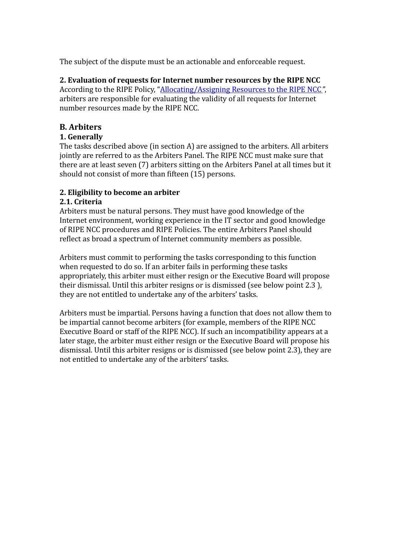The subject of the dispute must be an actionable and enforceable request.

**2. Evaluation of requests for Internet number resources by the RIPE NCC** According to the RIPE Policy, "**Allocating/Assigning Resources to the RIPE NCC**", arbiters are responsible for evaluating the validity of all requests for Internet number resources made by the RIPE NCC.

# **B. Arbiters**

## **1. Generally**

The tasks described above (in section A) are assigned to the arbiters. All arbiters jointly are referred to as the Arbiters Panel. The RIPE NCC must make sure that there are at least seven (7) arbiters sitting on the Arbiters Panel at all times but it should not consist of more than fifteen (15) persons.

## **2. Eligibility to become an arbiter**

## **2.1. Criteria**

Arbiters must be natural persons. They must have good knowledge of the Internet environment, working experience in the IT sector and good knowledge of RIPE NCC procedures and RIPE Policies. The entire Arbiters Panel should reflect as broad a spectrum of Internet community members as possible.

Arbiters must commit to performing the tasks corresponding to this function when requested to do so. If an arbiter fails in performing these tasks appropriately, this arbiter must either resign or the Executive Board will propose their dismissal. Until this arbiter resigns or is dismissed (see below point 2.3 ), they are not entitled to undertake any of the arbiters' tasks.

Arbiters must be impartial. Persons having a function that does not allow them to be impartial cannot become arbiters (for example, members of the RIPE NCC Executive Board or staff of the RIPE NCC). If such an incompatibility appears at a later stage, the arbiter must either resign or the Executive Board will propose his dismissal. Until this arbiter resigns or is dismissed (see below point 2.3), they are not entitled to undertake any of the arbiters' tasks.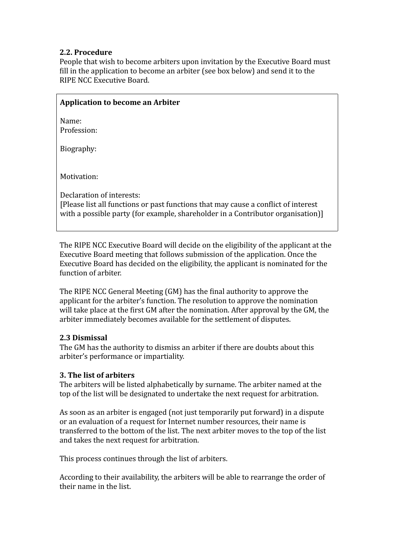### **2.2. Procedure**

People that wish to become arbiters upon invitation by the Executive Board must fill in the application to become an arbiter (see box below) and send it to the RIPE NCC Executive Board.

### **Application to become an Arbiter**

Name: Profession:

Biography:

Motivation:

Declaration of interests: [Please list all functions or past functions that may cause a conflict of interest with a possible party (for example, shareholder in a Contributor organisation)]

The RIPE NCC Executive Board will decide on the eligibility of the applicant at the Executive Board meeting that follows submission of the application. Once the Executive Board has decided on the eligibility, the applicant is nominated for the function of arbiter.

The RIPE NCC General Meeting (GM) has the final authority to approve the applicant for the arbiter's function. The resolution to approve the nomination will take place at the first GM after the nomination. After approval by the GM, the arbiter immediately becomes available for the settlement of disputes.

#### **2.3 Dismissal**

The GM has the authority to dismiss an arbiter if there are doubts about this arbiter's performance or impartiality.

#### **3. The list of arbiters**

The arbiters will be listed alphabetically by surname. The arbiter named at the top of the list will be designated to undertake the next request for arbitration.

As soon as an arbiter is engaged (not just temporarily put forward) in a dispute or an evaluation of a request for Internet number resources, their name is transferred to the bottom of the list. The next arbiter moves to the top of the list and takes the next request for arbitration.

This process continues through the list of arbiters.

According to their availability, the arbiters will be able to rearrange the order of their name in the list.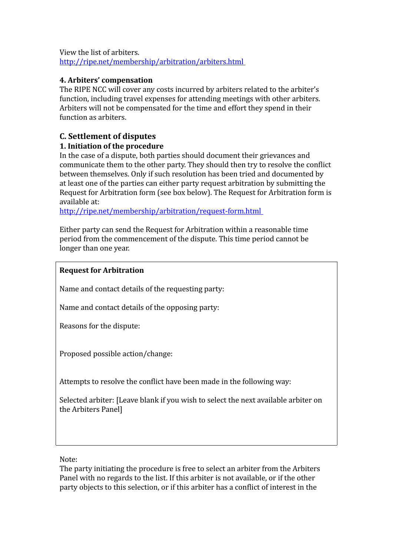View the list of arbiters. <http://ripe.net/membership/arbitration/arbiters.html>

### **4. Arbiters' compensation**

The RIPE NCC will cover any costs incurred by arbiters related to the arbiter's function, including travel expenses for attending meetings with other arbiters. Arbiters will not be compensated for the time and effort they spend in their function as arbiters.

# **C. Settlement of disputes**

### **1. Initiation of the procedure**

In the case of a dispute, both parties should document their grievances and communicate them to the other party. They should then try to resolve the conflict between themselves. Only if such resolution has been tried and documented by at least one of the parties can either party request arbitration by submitting the Request for Arbitration form (see box below). The Request for Arbitration form is available at:

[http://ripe.net/membership/arbitration/request‐form.html](http://ripe.net/membership/arbitration/request-form.html)

Either party can send the Request for Arbitration within a reasonable time period from the commencement of the dispute. This time period cannot be longer than one year.

### **Request for Arbitration**

Name and contact details of the requesting party:

Name and contact details of the opposing party:

Reasons for the dispute:

Proposed possible action/change:

Attempts to resolve the conflict have been made in the following way:

Selected arbiter: [Leave blank if you wish to select the next available arbiter on the Arbiters Panel]

#### Note:

The party initiating the procedure is free to select an arbiter from the Arbiters Panel with no regards to the list. If this arbiter is not available, or if the other party objects to this selection, or if this arbiter has a conflict of interest in the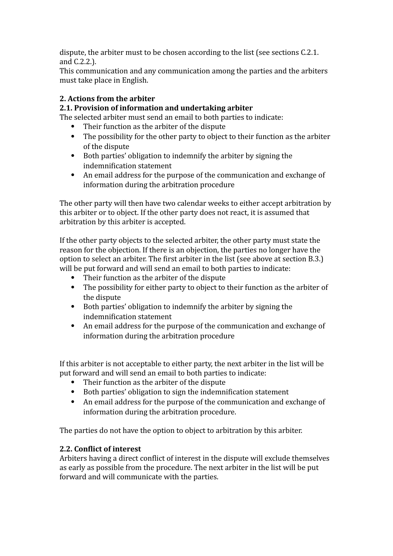dispute, the arbiter must to be chosen according to the list (see sections C.2.1. and C.2.2.).

This communication and any communication among the parties and the arbiters must take place in English.

## **2. Actions from the arbiter**

## **2.1. Provision of information and undertaking arbiter**

The selected arbiter must send an email to both parties to indicate:

- Their function as the arbiter of the dispute
- The possibility for the other party to object to their function as the arbiter of the dispute
- Both parties' obligation to indemnify the arbiter by signing the indemnification statement
- An email address for the purpose of the communication and exchange of information during the arbitration procedure

The other party will then have two calendar weeks to either accept arbitration by this arbiter or to object. If the other party does not react, it is assumed that arbitration by this arbiter is accepted.

If the other party objects to the selected arbiter, the other party must state the reason for the objection. If there is an objection, the parties no longer have the option to select an arbiter. The first arbiter in the list (see above at section B.3.) will be put forward and will send an email to both parties to indicate:

- Their function as the arbiter of the dispute
- The possibility for either party to object to their function as the arbiter of the dispute
- Both parties' obligation to indemnify the arbiter by signing the indemnification statement
- An email address for the purpose of the communication and exchange of information during the arbitration procedure

If this arbiter is not acceptable to either party, the next arbiter in the list will be put forward and will send an email to both parties to indicate:

- Their function as the arbiter of the dispute
- $\bullet$  Both parties' obligation to sign the indemnification statement
- An email address for the purpose of the communication and exchange of information during the arbitration procedure.

The parties do not have the option to object to arbitration by this arbiter.

# **2.2.** Conflict of interest

Arbiters having a direct conflict of interest in the dispute will exclude themselves as early as possible from the procedure. The next arbiter in the list will be put forward and will communicate with the parties.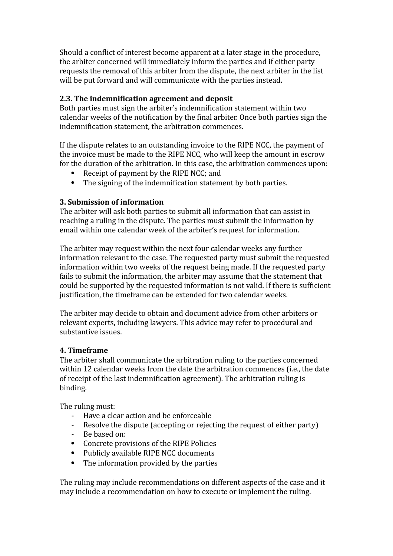Should a conflict of interest become apparent at a later stage in the procedure, the arbiter concerned will immediately inform the parties and if either party requests the removal of this arbiter from the dispute, the next arbiter in the list will be put forward and will communicate with the parties instead.

#### **2.3.** The indemnification agreement and deposit

Both parties must sign the arbiter's indemnification statement within two calendar weeks of the notification by the final arbiter. Once both parties sign the indemnification statement, the arbitration commences.

If the dispute relates to an outstanding invoice to the RIPE NCC, the payment of the invoice must be made to the RIPE NCC, who will keep the amount in escrow for the duration of the arbitration. In this case, the arbitration commences upon:

- Receipt of payment by the RIPE NCC; and
- $\bullet$  The signing of the indemnification statement by both parties.

#### **3. Submission of information**

The arbiter will ask both parties to submit all information that can assist in reaching a ruling in the dispute. The parties must submit the information by email within one calendar week of the arbiter's request for information.

The arbiter may request within the next four calendar weeks any further information relevant to the case. The requested party must submit the requested information within two weeks of the request being made. If the requested party fails to submit the information, the arbiter may assume that the statement that could be supported by the requested information is not valid. If there is sufficient justification, the timeframe can be extended for two calendar weeks.

The arbiter may decide to obtain and document advice from other arbiters or relevant experts, including lawyers. This advice may refer to procedural and substantive issues.

#### **4. Timeframe**

The arbiter shall communicate the arbitration ruling to the parties concerned within 12 calendar weeks from the date the arbitration commences (i.e., the date of receipt of the last indemnification agreement). The arbitration ruling is binding.

The ruling must:

- ‐ Have a clear action and be enforceable
- Resolve the dispute (accepting or rejecting the request of either party)
- ‐ Be based on:
- Concrete provisions of the RIPE Policies
- Publicly available RIPE NCC documents
- The information provided by the parties

The ruling may include recommendations on different aspects of the case and it may include a recommendation on how to execute or implement the ruling.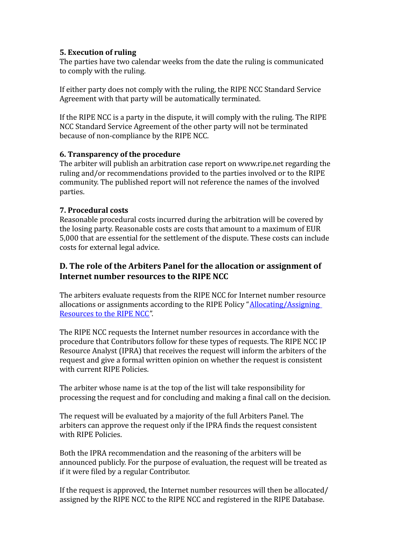### **5. Execution of ruling**

The parties have two calendar weeks from the date the ruling is communicated to comply with the ruling.

If either party does not comply with the ruling, the RIPE NCC Standard Service Agreement with that party will be automatically terminated.

If the RIPE NCC is a party in the dispute, it will comply with the ruling. The RIPE NCC Standard Service Agreement of the other party will not be terminated because of non‐compliance by the RIPE NCC.

### **6. Transparency of the procedure**

The arbiter will publish an arbitration case report on www.ripe.net regarding the ruling and/or recommendations provided to the parties involved or to the RIPE community. The published report will not reference the names of the involved parties.

### **7. Procedural costs**

Reasonable procedural costs incurred during the arbitration will be covered by the losing party. Reasonable costs are costs that amount to a maximum of EUR 5,000 that are essential for the settlement of the dispute. These costs can include costs for external legal advice.

## **D. The role of the Arbiters Panel for the allocation or assignment of Internet number resources to the RIPE NCC**

The arbiters evaluate requests from the RIPE NCC for Internet number resource allocations or assignments according to the RIPE Policy ["Allocating/Assigning](https://www.ripe.net/ripe/docs/ripe-476.html) [Resources](https://www.ripe.net/ripe/docs/ripe-476.html) to the RIPE NCC".

The RIPE NCC requests the Internet number resources in accordance with the procedure that Contributors follow for these types of requests. The RIPE NCC IP Resource Analyst (IPRA) that receives the request will inform the arbiters of the request and give a formal written opinion on whether the request is consistent with current RIPE Policies.

The arbiter whose name is at the top of the list will take responsibility for processing the request and for concluding and making a final call on the decision.

The request will be evaluated by a majority of the full Arbiters Panel. The arbiters can approve the request only if the IPRA finds the request consistent with RIPE Policies.

Both the IPRA recommendation and the reasoning of the arbiters will be announced publicly. For the purpose of evaluation, the request will be treated as if it were filed by a regular Contributor.

If the request is approved, the Internet number resources will then be allocated/ assigned by the RIPE NCC to the RIPE NCC and registered in the RIPE Database.